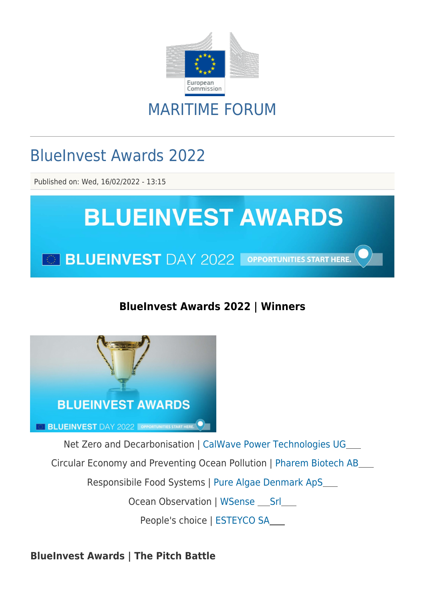

## MARITIME FORUM

# BlueInvest Awards 2022

Published on: Wed, 16/02/2022 - 13:15



### **BlueInvest Awards 2022 | Winners**



Net Zero and Decarbonisation | [CalWave Power Technologies UG](https://webgate.ec.europa.eu/maritimeforum/en/node/4824)

Circular Economy and Preventing Ocean Pollution | [Pharem Biotech AB](https://webgate.ec.europa.eu/maritimeforum/en/node/5880)

Responsibile Food Systems | [Pure Algae Denmark ApS](https://www.purealgae.dk/)

Ocean Observation | WSense \_\_ Srl \_\_

People's choice | [ESTEYCO SA](https://www.esteyco.com/)

**BlueInvest Awards | The Pitch Battle**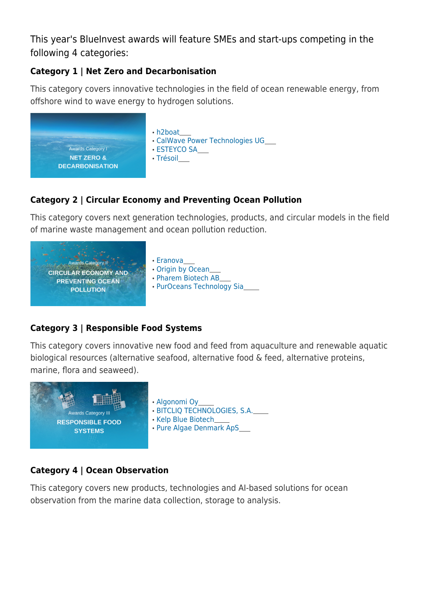This year's BlueInvest awards will feature SMEs and start-ups competing in the following 4 categories:

#### **Category 1 | Net Zero and Decarbonisation**

This category covers innovative technologies in the field of ocean renewable energy, from offshore wind to wave energy to hydrogen solutions.



#### **Category 2 | Circular Economy and Preventing Ocean Pollution**

This category covers next generation technologies, products, and circular models in the field of marine waste management and ocean pollution reduction.



### **Category 3 | Responsible Food Systems**

This category covers innovative new food and feed from aquaculture and renewable aquatic biological resources (alternative seafood, alternative food & feed, alternative proteins, marine, flora and seaweed).



#### **Category 4 | Ocean Observation**

This category covers new products, technologies and AI-based solutions for ocean observation from the marine data collection, storage to analysis.